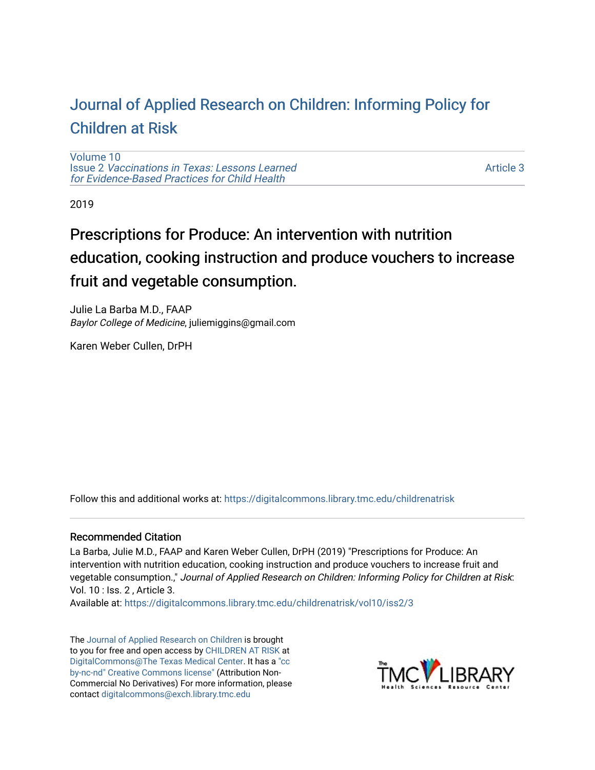# [Journal of Applied Research on Children: Informing Policy for](https://digitalcommons.library.tmc.edu/childrenatrisk) [Children at Risk](https://digitalcommons.library.tmc.edu/childrenatrisk)

[Volume 10](https://digitalcommons.library.tmc.edu/childrenatrisk/vol10) Issue 2 [Vaccinations in Texas: Lessons Learned](https://digitalcommons.library.tmc.edu/childrenatrisk/vol10/iss2)  [for Evidence-Based Practices for Child Health](https://digitalcommons.library.tmc.edu/childrenatrisk/vol10/iss2)

[Article 3](https://digitalcommons.library.tmc.edu/childrenatrisk/vol10/iss2/3) 

2019

# Prescriptions for Produce: An intervention with nutrition education, cooking instruction and produce vouchers to increase fruit and vegetable consumption.

Julie La Barba M.D., FAAP Baylor College of Medicine, juliemiggins@gmail.com

Karen Weber Cullen, DrPH

Follow this and additional works at: [https://digitalcommons.library.tmc.edu/childrenatrisk](https://digitalcommons.library.tmc.edu/childrenatrisk?utm_source=digitalcommons.library.tmc.edu%2Fchildrenatrisk%2Fvol10%2Fiss2%2F3&utm_medium=PDF&utm_campaign=PDFCoverPages) 

## Recommended Citation

La Barba, Julie M.D., FAAP and Karen Weber Cullen, DrPH (2019) "Prescriptions for Produce: An intervention with nutrition education, cooking instruction and produce vouchers to increase fruit and vegetable consumption.," Journal of Applied Research on Children: Informing Policy for Children at Risk: Vol. 10 : Iss. 2 , Article 3.

Available at: [https://digitalcommons.library.tmc.edu/childrenatrisk/vol10/iss2/3](https://digitalcommons.library.tmc.edu/childrenatrisk/vol10/iss2/3?utm_source=digitalcommons.library.tmc.edu%2Fchildrenatrisk%2Fvol10%2Fiss2%2F3&utm_medium=PDF&utm_campaign=PDFCoverPages) 

The [Journal of Applied Research on Children](http://digitalcommons.library.tmc.edu/childrenatrisk) is brought to you for free and open access by [CHILDREN AT RISK](http://childrenatrisk.org/) at [DigitalCommons@The Texas Medical Center](http://digitalcommons.library.tmc.edu/). It has a ["cc](http://creativecommons.org/licenses/by-nc-nd/3.0/)  [by-nc-nd" Creative Commons license"](http://creativecommons.org/licenses/by-nc-nd/3.0/) (Attribution Non-Commercial No Derivatives) For more information, please contact [digitalcommons@exch.library.tmc.edu](mailto:digitalcommons@exch.library.tmc.edu) 

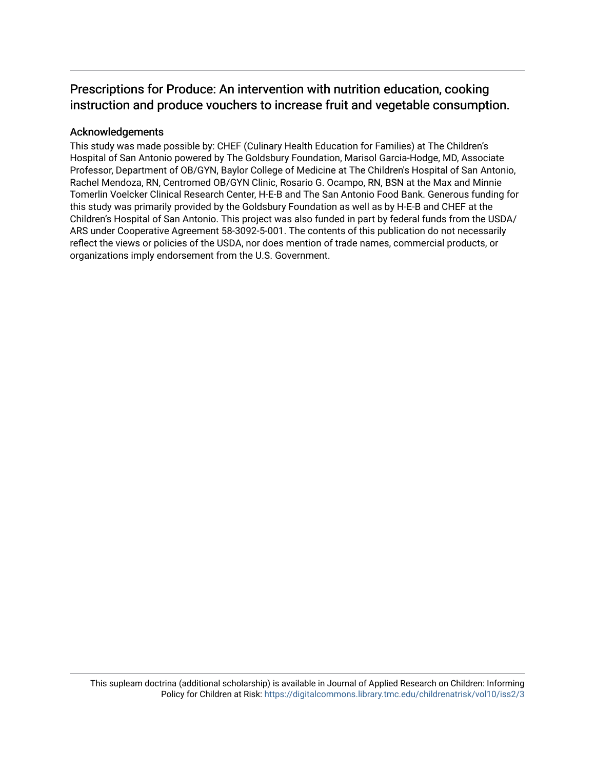# Prescriptions for Produce: An intervention with nutrition education, cooking instruction and produce vouchers to increase fruit and vegetable consumption.

# Acknowledgements

This study was made possible by: CHEF (Culinary Health Education for Families) at The Children's Hospital of San Antonio powered by The Goldsbury Foundation, Marisol Garcia-Hodge, MD, Associate Professor, Department of OB/GYN, Baylor College of Medicine at The Children's Hospital of San Antonio, Rachel Mendoza, RN, Centromed OB/GYN Clinic, Rosario G. Ocampo, RN, BSN at the Max and Minnie Tomerlin Voelcker Clinical Research Center, H-E-B and The San Antonio Food Bank. Generous funding for this study was primarily provided by the Goldsbury Foundation as well as by H-E-B and CHEF at the Children's Hospital of San Antonio. This project was also funded in part by federal funds from the USDA/ ARS under Cooperative Agreement 58-3092-5-001. The contents of this publication do not necessarily reflect the views or policies of the USDA, nor does mention of trade names, commercial products, or organizations imply endorsement from the U.S. Government.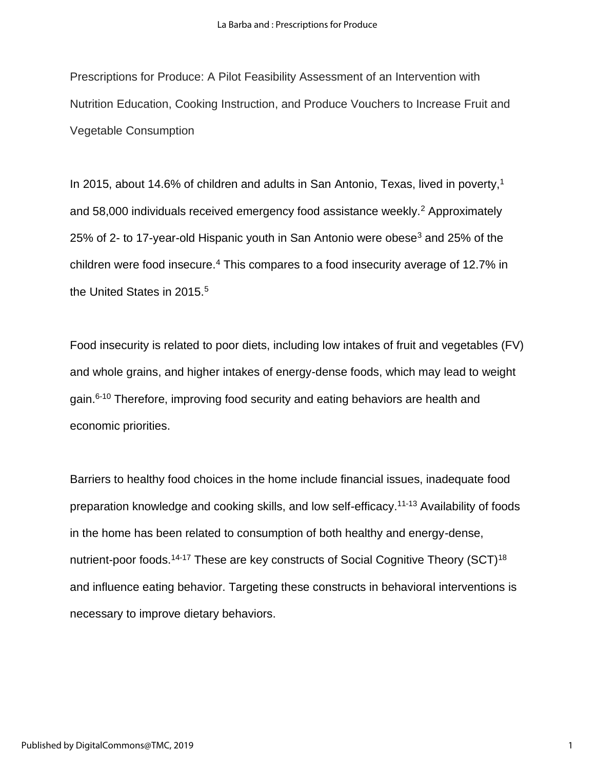Prescriptions for Produce: A Pilot Feasibility Assessment of an Intervention with Nutrition Education, Cooking Instruction, and Produce Vouchers to Increase Fruit and Vegetable Consumption

In 2015, about 14.6% of children and adults in San Antonio, Texas, lived in poverty,<sup>1</sup> and 58,000 individuals received emergency food assistance weekly.<sup>2</sup> Approximately 25% of 2- to 17-year-old Hispanic youth in San Antonio were obese<sup>3</sup> and 25% of the children were food insecure.<sup>4</sup> This compares to a food insecurity average of 12.7% in the United States in 2015.<sup>5</sup>

Food insecurity is related to poor diets, including low intakes of fruit and vegetables (FV) and whole grains, and higher intakes of energy-dense foods, which may lead to weight gain.<sup>6-10</sup> Therefore, improving food security and eating behaviors are health and economic priorities.

Barriers to healthy food choices in the home include financial issues, inadequate food preparation knowledge and cooking skills, and low self-efficacy.11-13 Availability of foods in the home has been related to consumption of both healthy and energy-dense, nutrient-poor foods.<sup>14-17</sup> These are key constructs of Social Cognitive Theory (SCT)<sup>18</sup> and influence eating behavior. Targeting these constructs in behavioral interventions is necessary to improve dietary behaviors.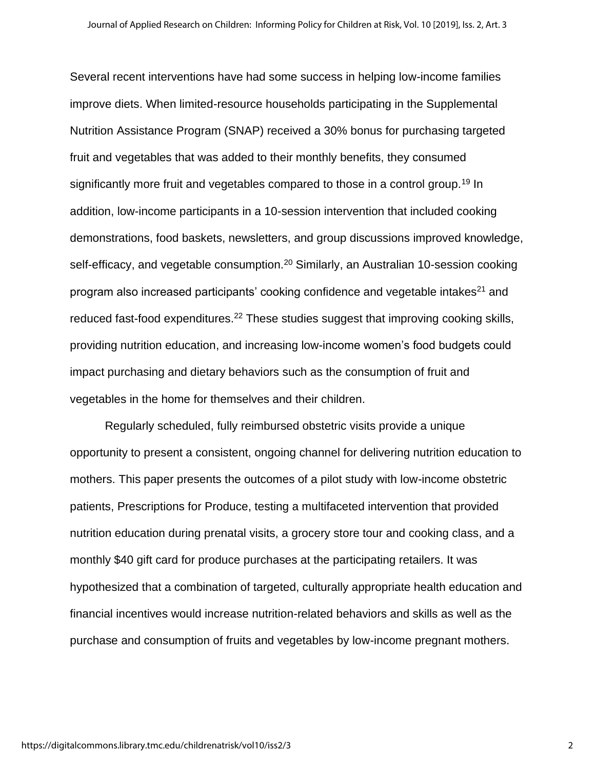Several recent interventions have had some success in helping low-income families improve diets. When limited-resource households participating in the Supplemental Nutrition Assistance Program (SNAP) received a 30% bonus for purchasing targeted fruit and vegetables that was added to their monthly benefits, they consumed significantly more fruit and vegetables compared to those in a control group.<sup>19</sup> In addition, low-income participants in a 10-session intervention that included cooking demonstrations, food baskets, newsletters, and group discussions improved knowledge, self-efficacy, and vegetable consumption.<sup>20</sup> Similarly, an Australian 10-session cooking program also increased participants' cooking confidence and vegetable intakes<sup>21</sup> and reduced fast-food expenditures.<sup>22</sup> These studies suggest that improving cooking skills, providing nutrition education, and increasing low-income women's food budgets could impact purchasing and dietary behaviors such as the consumption of fruit and vegetables in the home for themselves and their children.

Regularly scheduled, fully reimbursed obstetric visits provide a unique opportunity to present a consistent, ongoing channel for delivering nutrition education to mothers. This paper presents the outcomes of a pilot study with low-income obstetric patients, Prescriptions for Produce, testing a multifaceted intervention that provided nutrition education during prenatal visits, a grocery store tour and cooking class, and a monthly \$40 gift card for produce purchases at the participating retailers. It was hypothesized that a combination of targeted, culturally appropriate health education and financial incentives would increase nutrition-related behaviors and skills as well as the purchase and consumption of fruits and vegetables by low-income pregnant mothers.

2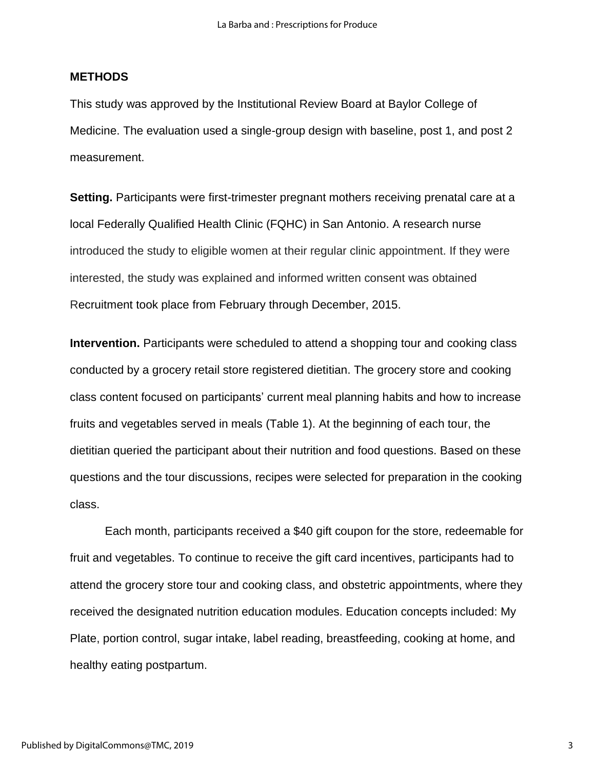## **METHODS**

This study was approved by the Institutional Review Board at Baylor College of Medicine. The evaluation used a single-group design with baseline, post 1, and post 2 measurement.

**Setting.** Participants were first-trimester pregnant mothers receiving prenatal care at a local Federally Qualified Health Clinic (FQHC) in San Antonio. A research nurse introduced the study to eligible women at their regular clinic appointment. If they were interested, the study was explained and informed written consent was obtained Recruitment took place from February through December, 2015.

**Intervention.** Participants were scheduled to attend a shopping tour and cooking class conducted by a grocery retail store registered dietitian. The grocery store and cooking class content focused on participants' current meal planning habits and how to increase fruits and vegetables served in meals (Table 1). At the beginning of each tour, the dietitian queried the participant about their nutrition and food questions. Based on these questions and the tour discussions, recipes were selected for preparation in the cooking class.

Each month, participants received a \$40 gift coupon for the store, redeemable for fruit and vegetables. To continue to receive the gift card incentives, participants had to attend the grocery store tour and cooking class, and obstetric appointments, where they received the designated nutrition education modules. Education concepts included: My Plate, portion control, sugar intake, label reading, breastfeeding, cooking at home, and healthy eating postpartum.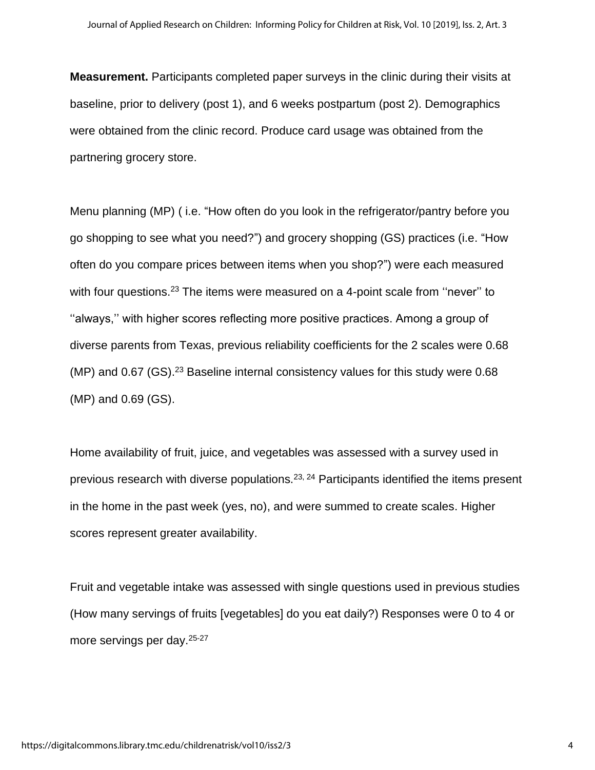**Measurement.** Participants completed paper surveys in the clinic during their visits at baseline, prior to delivery (post 1), and 6 weeks postpartum (post 2). Demographics were obtained from the clinic record. Produce card usage was obtained from the partnering grocery store.

Menu planning (MP) ( i.e. "How often do you look in the refrigerator/pantry before you go shopping to see what you need?") and grocery shopping (GS) practices (i.e. "How often do you compare prices between items when you shop?") were each measured with four questions.<sup>23</sup> The items were measured on a 4-point scale from "never" to ''always,'' with higher scores reflecting more positive practices. Among a group of diverse parents from Texas, previous reliability coefficients for the 2 scales were 0.68 (MP) and  $0.67$  (GS).<sup>23</sup> Baseline internal consistency values for this study were  $0.68$ (MP) and 0.69 (GS).

Home availability of fruit, juice, and vegetables was assessed with a survey used in previous research with diverse populations.23, 24 Participants identified the items present in the home in the past week (yes, no), and were summed to create scales. Higher scores represent greater availability.

Fruit and vegetable intake was assessed with single questions used in previous studies (How many servings of fruits [vegetables] do you eat daily?) Responses were 0 to 4 or more servings per day.25-27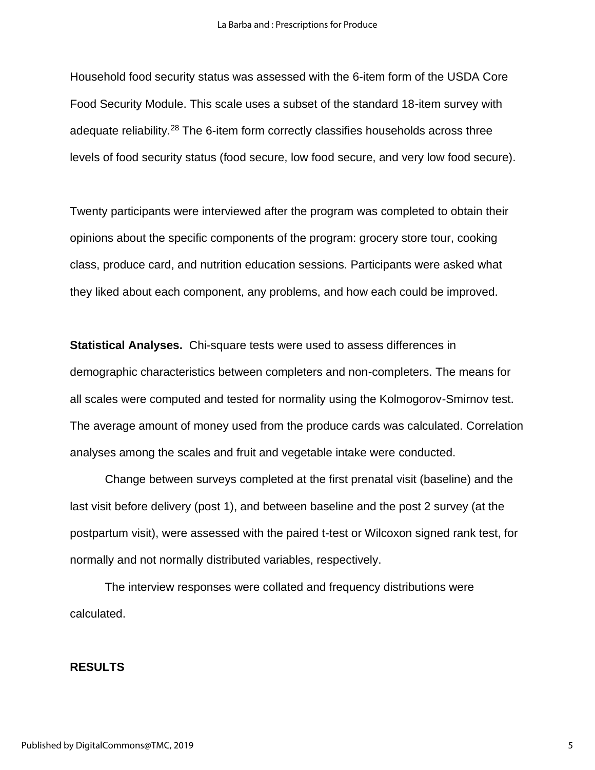Household food security status was assessed with the 6-item form of the USDA Core Food Security Module. This scale uses a subset of the standard 18-item survey with adequate reliability.<sup>28</sup> The 6-item form correctly classifies households across three levels of food security status (food secure, low food secure, and very low food secure).

Twenty participants were interviewed after the program was completed to obtain their opinions about the specific components of the program: grocery store tour, cooking class, produce card, and nutrition education sessions. Participants were asked what they liked about each component, any problems, and how each could be improved.

**Statistical Analyses.** Chi-square tests were used to assess differences in demographic characteristics between completers and non-completers. The means for all scales were computed and tested for normality using the Kolmogorov-Smirnov test. The average amount of money used from the produce cards was calculated. Correlation analyses among the scales and fruit and vegetable intake were conducted.

Change between surveys completed at the first prenatal visit (baseline) and the last visit before delivery (post 1), and between baseline and the post 2 survey (at the postpartum visit), were assessed with the paired t-test or Wilcoxon signed rank test, for normally and not normally distributed variables, respectively.

The interview responses were collated and frequency distributions were calculated.

#### **RESULTS**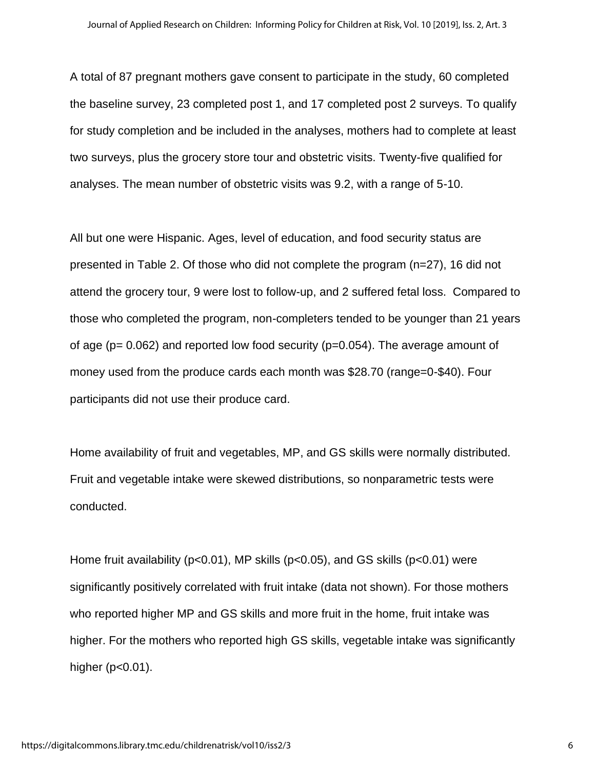A total of 87 pregnant mothers gave consent to participate in the study, 60 completed the baseline survey, 23 completed post 1, and 17 completed post 2 surveys. To qualify for study completion and be included in the analyses, mothers had to complete at least two surveys, plus the grocery store tour and obstetric visits. Twenty-five qualified for analyses. The mean number of obstetric visits was 9.2, with a range of 5-10.

All but one were Hispanic. Ages, level of education, and food security status are presented in Table 2. Of those who did not complete the program (n=27), 16 did not attend the grocery tour, 9 were lost to follow-up, and 2 suffered fetal loss. Compared to those who completed the program, non-completers tended to be younger than 21 years of age ( $p= 0.062$ ) and reported low food security ( $p=0.054$ ). The average amount of money used from the produce cards each month was \$28.70 (range=0-\$40). Four participants did not use their produce card.

Home availability of fruit and vegetables, MP, and GS skills were normally distributed. Fruit and vegetable intake were skewed distributions, so nonparametric tests were conducted.

Home fruit availability (p<0.01), MP skills (p<0.05), and GS skills (p<0.01) were significantly positively correlated with fruit intake (data not shown). For those mothers who reported higher MP and GS skills and more fruit in the home, fruit intake was higher. For the mothers who reported high GS skills, vegetable intake was significantly higher (p<0.01).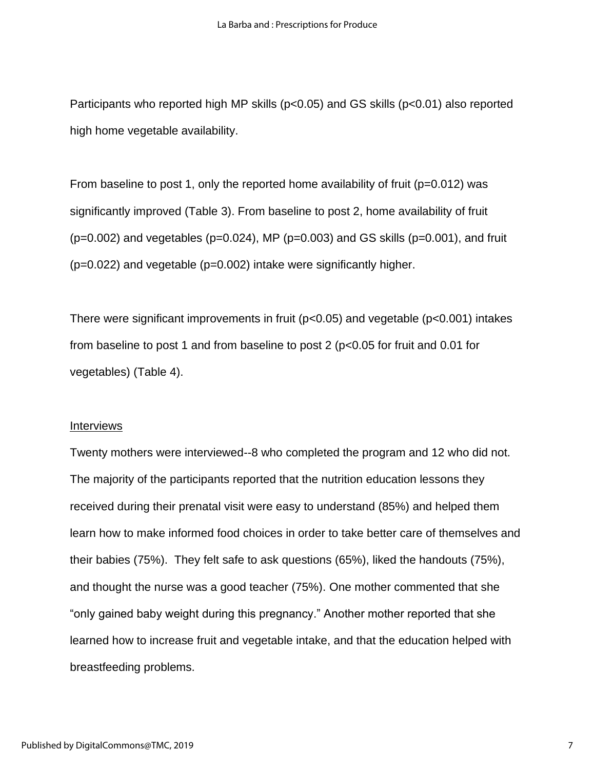Participants who reported high MP skills (p<0.05) and GS skills (p<0.01) also reported high home vegetable availability.

From baseline to post 1, only the reported home availability of fruit ( $p=0.012$ ) was significantly improved (Table 3). From baseline to post 2, home availability of fruit  $(p=0.002)$  and vegetables ( $p=0.024$ ), MP ( $p=0.003$ ) and GS skills ( $p=0.001$ ), and fruit (p=0.022) and vegetable (p=0.002) intake were significantly higher.

There were significant improvements in fruit (p<0.05) and vegetable (p<0.001) intakes from baseline to post 1 and from baseline to post 2 (p<0.05 for fruit and 0.01 for vegetables) (Table 4).

#### Interviews

Twenty mothers were interviewed--8 who completed the program and 12 who did not. The majority of the participants reported that the nutrition education lessons they received during their prenatal visit were easy to understand (85%) and helped them learn how to make informed food choices in order to take better care of themselves and their babies (75%). They felt safe to ask questions (65%), liked the handouts (75%), and thought the nurse was a good teacher (75%). One mother commented that she "only gained baby weight during this pregnancy." Another mother reported that she learned how to increase fruit and vegetable intake, and that the education helped with breastfeeding problems.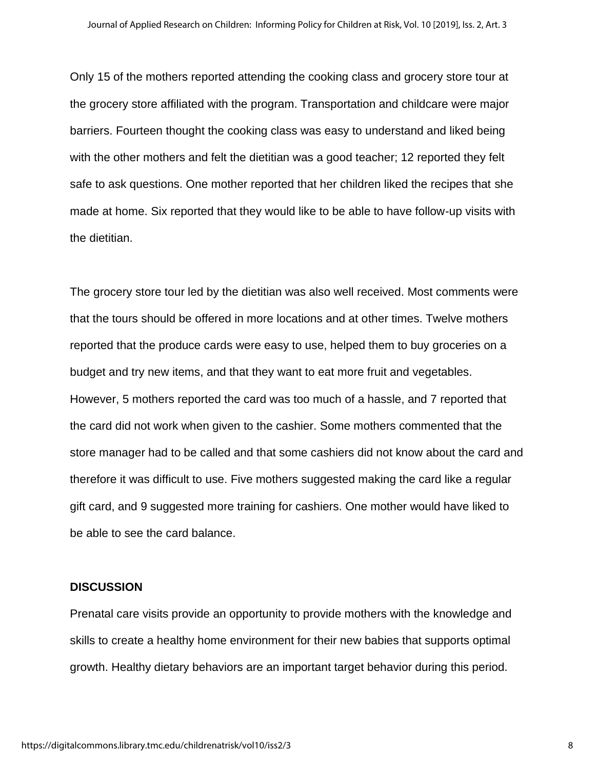Only 15 of the mothers reported attending the cooking class and grocery store tour at the grocery store affiliated with the program. Transportation and childcare were major barriers. Fourteen thought the cooking class was easy to understand and liked being with the other mothers and felt the dietitian was a good teacher; 12 reported they felt safe to ask questions. One mother reported that her children liked the recipes that she made at home. Six reported that they would like to be able to have follow-up visits with the dietitian.

The grocery store tour led by the dietitian was also well received. Most comments were that the tours should be offered in more locations and at other times. Twelve mothers reported that the produce cards were easy to use, helped them to buy groceries on a budget and try new items, and that they want to eat more fruit and vegetables. However, 5 mothers reported the card was too much of a hassle, and 7 reported that the card did not work when given to the cashier. Some mothers commented that the store manager had to be called and that some cashiers did not know about the card and therefore it was difficult to use. Five mothers suggested making the card like a regular gift card, and 9 suggested more training for cashiers. One mother would have liked to be able to see the card balance.

#### **DISCUSSION**

Prenatal care visits provide an opportunity to provide mothers with the knowledge and skills to create a healthy home environment for their new babies that supports optimal growth. Healthy dietary behaviors are an important target behavior during this period.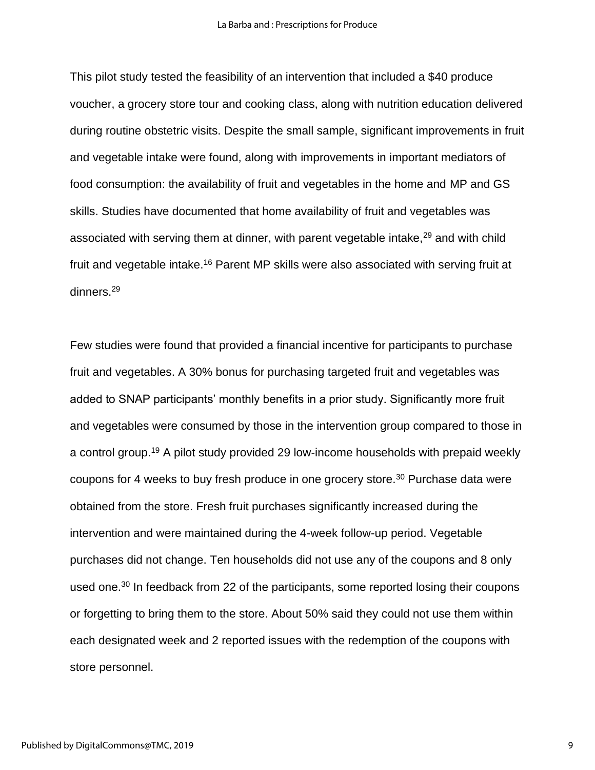This pilot study tested the feasibility of an intervention that included a \$40 produce voucher, a grocery store tour and cooking class, along with nutrition education delivered during routine obstetric visits. Despite the small sample, significant improvements in fruit and vegetable intake were found, along with improvements in important mediators of food consumption: the availability of fruit and vegetables in the home and MP and GS skills. Studies have documented that home availability of fruit and vegetables was associated with serving them at dinner, with parent vegetable intake,<sup>29</sup> and with child fruit and vegetable intake.<sup>16</sup> Parent MP skills were also associated with serving fruit at dinners. 29

Few studies were found that provided a financial incentive for participants to purchase fruit and vegetables. A 30% bonus for purchasing targeted fruit and vegetables was added to SNAP participants' monthly benefits in a prior study. Significantly more fruit and vegetables were consumed by those in the intervention group compared to those in a control group.<sup>19</sup> A pilot study provided 29 low-income households with prepaid weekly coupons for 4 weeks to buy fresh produce in one grocery store.<sup>30</sup> Purchase data were obtained from the store. Fresh fruit purchases significantly increased during the intervention and were maintained during the 4-week follow-up period. Vegetable purchases did not change. Ten households did not use any of the coupons and 8 only used one.<sup>30</sup> In feedback from 22 of the participants, some reported losing their coupons or forgetting to bring them to the store. About 50% said they could not use them within each designated week and 2 reported issues with the redemption of the coupons with store personnel.

9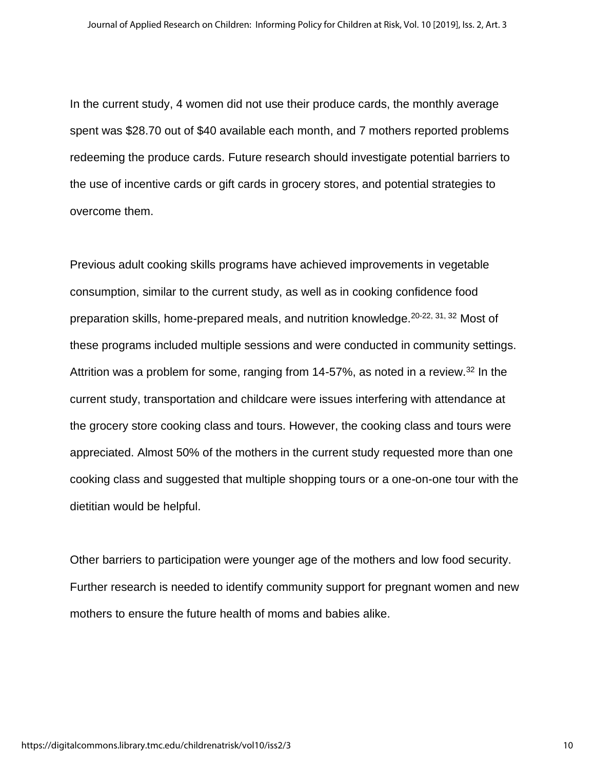In the current study, 4 women did not use their produce cards, the monthly average spent was \$28.70 out of \$40 available each month, and 7 mothers reported problems redeeming the produce cards. Future research should investigate potential barriers to the use of incentive cards or gift cards in grocery stores, and potential strategies to overcome them.

Previous adult cooking skills programs have achieved improvements in vegetable consumption, similar to the current study, as well as in cooking confidence food preparation skills, home-prepared meals, and nutrition knowledge.20-22, 31, 32 Most of these programs included multiple sessions and were conducted in community settings. Attrition was a problem for some, ranging from 14-57%, as noted in a review.<sup>32</sup> In the current study, transportation and childcare were issues interfering with attendance at the grocery store cooking class and tours. However, the cooking class and tours were appreciated. Almost 50% of the mothers in the current study requested more than one cooking class and suggested that multiple shopping tours or a one-on-one tour with the dietitian would be helpful.

Other barriers to participation were younger age of the mothers and low food security. Further research is needed to identify community support for pregnant women and new mothers to ensure the future health of moms and babies alike.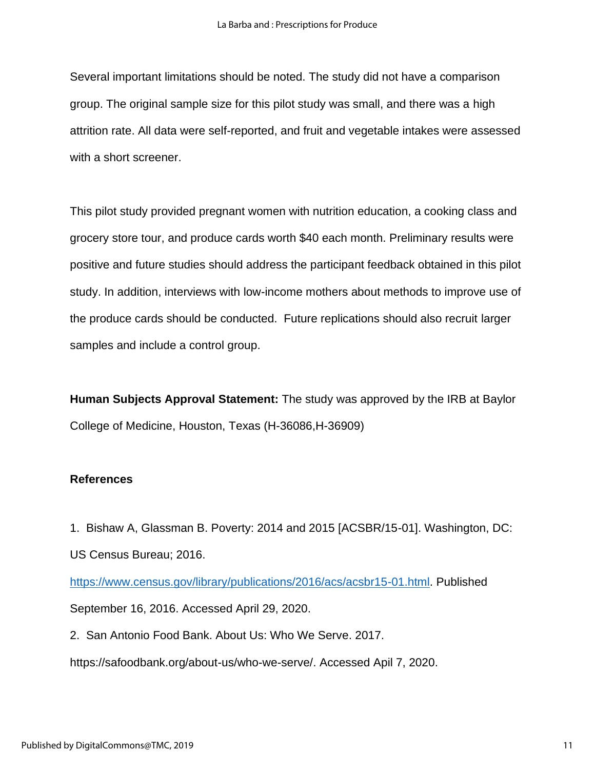Several important limitations should be noted. The study did not have a comparison group. The original sample size for this pilot study was small, and there was a high attrition rate. All data were self-reported, and fruit and vegetable intakes were assessed with a short screener.

This pilot study provided pregnant women with nutrition education, a cooking class and grocery store tour, and produce cards worth \$40 each month. Preliminary results were positive and future studies should address the participant feedback obtained in this pilot study. In addition, interviews with low-income mothers about methods to improve use of the produce cards should be conducted. Future replications should also recruit larger samples and include a control group.

**Human Subjects Approval Statement:** The study was approved by the IRB at Baylor College of Medicine, Houston, Texas (H-36086,H-36909)

## **References**

1. Bishaw A, Glassman B. Poverty: 2014 and 2015 [ACSBR/15-01]. Washington, DC: US Census Bureau; 2016.

[https://www.census.gov/library/publications/2016/acs/acsbr15-01.html.](https://www.census.gov/library/publications/2016/acs/acsbr15-01.html) Published September 16, 2016. Accessed April 29, 2020.

2. San Antonio Food Bank. About Us: Who We Serve. 2017.

https://safoodbank.org/about-us/who-we-serve/. Accessed Apil 7, 2020.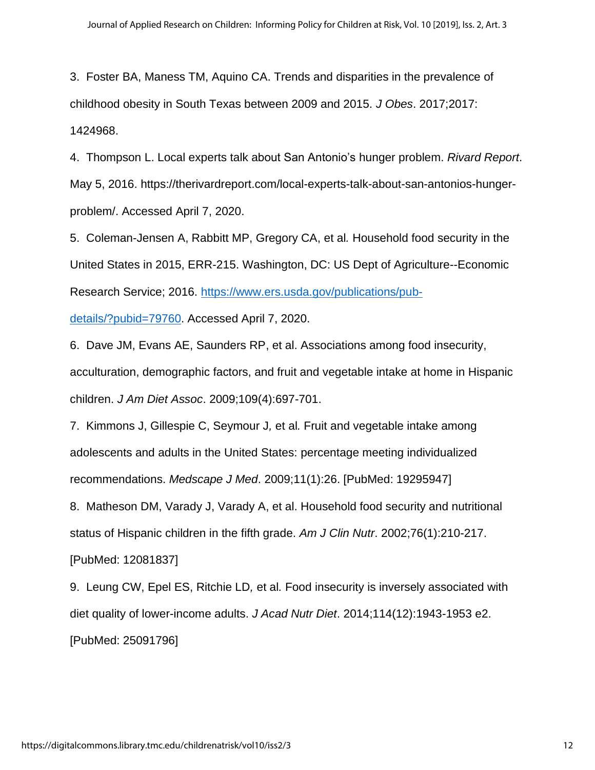3. Foster BA, Maness TM, Aquino CA. Trends and disparities in the prevalence of childhood obesity in South Texas between 2009 and 2015. *J Obes*. 2017;2017: 1424968.

4. Thompson L. Local experts talk about San Antonio's hunger problem. *Rivard Report*. May 5, 2016. https://therivardreport.com/local-experts-talk-about-san-antonios-hungerproblem/. Accessed April 7, 2020.

5. Coleman-Jensen A, Rabbitt MP, Gregory CA, et al*.* Household food security in the United States in 2015, ERR-215. Washington, DC: US Dept of Agriculture--Economic Research Service; 2016. [https://www.ers.usda.gov/publications/pub-](https://www.ers.usda.gov/publications/pub-details/?pubid=79760)

[details/?pubid=79760.](https://www.ers.usda.gov/publications/pub-details/?pubid=79760) Accessed April 7, 2020.

6. Dave JM, Evans AE, Saunders RP, et al. Associations among food insecurity, acculturation, demographic factors, and fruit and vegetable intake at home in Hispanic children. *J Am Diet Assoc*. 2009;109(4):697-701.

7. Kimmons J, Gillespie C, Seymour J*,* et al*.* Fruit and vegetable intake among adolescents and adults in the United States: percentage meeting individualized recommendations. *Medscape J Med*. 2009;11(1):26. [PubMed: 19295947]

8. Matheson DM, Varady J, Varady A, et al. Household food security and nutritional status of Hispanic children in the fifth grade. *Am J Clin Nutr*. 2002;76(1):210-217. [PubMed: 12081837]

9. Leung CW, Epel ES, Ritchie LD*,* et al*.* Food insecurity is inversely associated with diet quality of lower-income adults. *J Acad Nutr Diet*. 2014;114(12):1943-1953 e2. [PubMed: 25091796]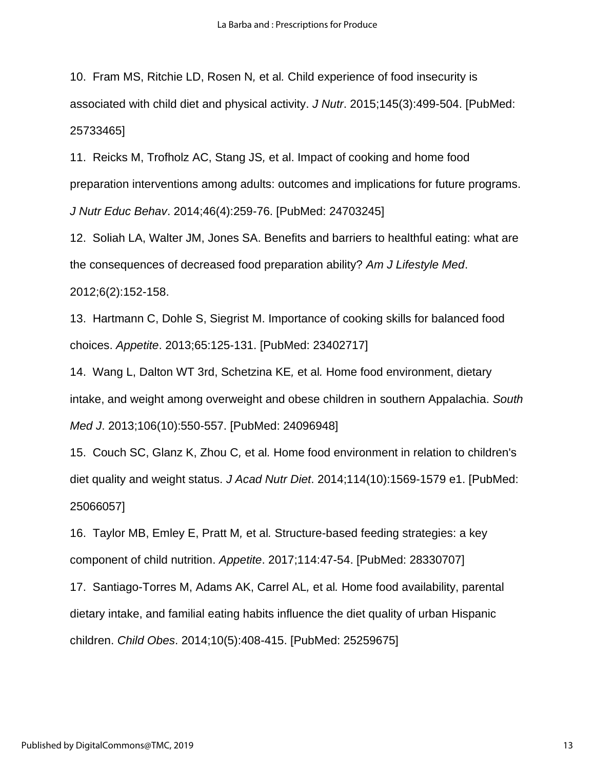10. Fram MS, Ritchie LD, Rosen N*,* et al*.* Child experience of food insecurity is associated with child diet and physical activity. *J Nutr*. 2015;145(3):499-504. [PubMed: 25733465]

11. Reicks M, Trofholz AC, Stang JS*,* et al. Impact of cooking and home food preparation interventions among adults: outcomes and implications for future programs. *J Nutr Educ Behav*. 2014;46(4):259-76. [PubMed: 24703245]

12. Soliah LA, Walter JM, Jones SA. Benefits and barriers to healthful eating: what are the consequences of decreased food preparation ability? *Am J Lifestyle Med*. 2012;6(2):152-158.

13. Hartmann C, Dohle S, Siegrist M. Importance of cooking skills for balanced food choices. *Appetite*. 2013;65:125-131. [PubMed: 23402717]

14. Wang L, Dalton WT 3rd, Schetzina KE*,* et al*.* Home food environment, dietary intake, and weight among overweight and obese children in southern Appalachia. *South Med J*. 2013;106(10):550-557. [PubMed: 24096948]

15. Couch SC, Glanz K, Zhou C*,* et al*.* Home food environment in relation to children's diet quality and weight status. *J Acad Nutr Diet*. 2014;114(10):1569-1579 e1. [PubMed: 25066057]

16. Taylor MB, Emley E, Pratt M*,* et al*.* Structure-based feeding strategies: a key component of child nutrition. *Appetite*. 2017;114:47-54. [PubMed: 28330707]

17. Santiago-Torres M, Adams AK, Carrel AL*,* et al*.* Home food availability, parental dietary intake, and familial eating habits influence the diet quality of urban Hispanic children. *Child Obes*. 2014;10(5):408-415. [PubMed: 25259675]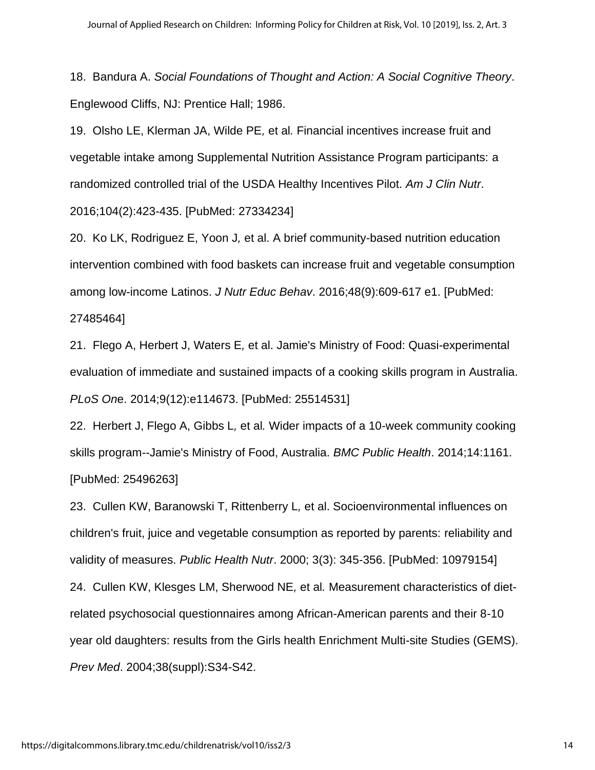18. Bandura A. *Social Foundations of Thought and Action: A Social Cognitive Theory*. Englewood Cliffs, NJ: Prentice Hall; 1986.

19. Olsho LE, Klerman JA, Wilde PE*,* et al*.* Financial incentives increase fruit and vegetable intake among Supplemental Nutrition Assistance Program participants: a randomized controlled trial of the USDA Healthy Incentives Pilot. *Am J Clin Nutr*. 2016;104(2):423-435. [PubMed: 27334234]

20. Ko LK, Rodriguez E, Yoon J*,* et al. A brief community-based nutrition education intervention combined with food baskets can increase fruit and vegetable consumption among low-income Latinos. *J Nutr Educ Behav*. 2016;48(9):609-617 e1. [PubMed:

#### 27485464]

21. Flego A, Herbert J, Waters E*,* et al. Jamie's Ministry of Food: Quasi-experimental evaluation of immediate and sustained impacts of a cooking skills program in Australia. *PLoS On*e. 2014;9(12):e114673. [PubMed: 25514531]

22. Herbert J, Flego A, Gibbs L*,* et al*.* Wider impacts of a 10-week community cooking skills program--Jamie's Ministry of Food, Australia. *BMC Public Health*. 2014;14:1161. [PubMed: 25496263]

23. Cullen KW, Baranowski T, Rittenberry L*,* et al. Socioenvironmental influences on children's fruit, juice and vegetable consumption as reported by parents: reliability and validity of measures. *Public Health Nutr*. 2000; 3(3): 345-356. [PubMed: 10979154] 24. Cullen KW, Klesges LM, Sherwood NE*,* et al*.* Measurement characteristics of dietrelated psychosocial questionnaires among African-American parents and their 8-10 year old daughters: results from the Girls health Enrichment Multi-site Studies (GEMS). *Prev Med*. 2004;38(suppl):S34-S42.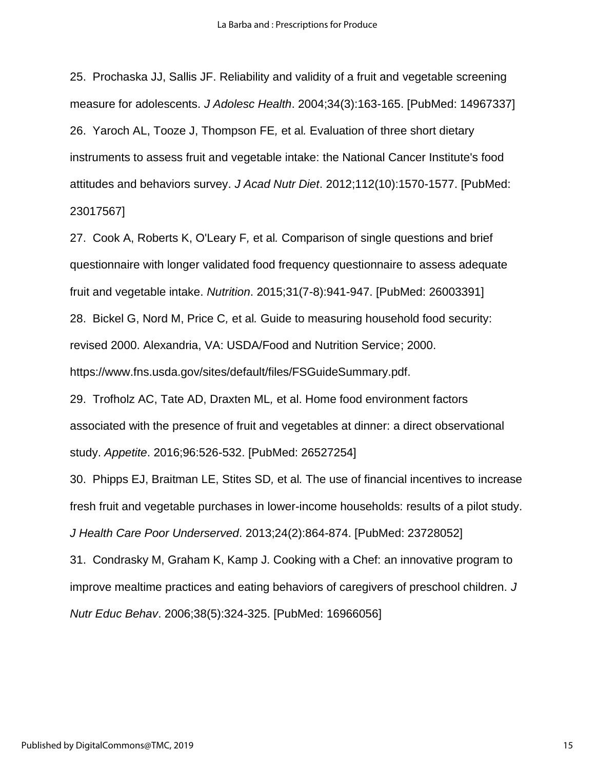25. Prochaska JJ, Sallis JF. Reliability and validity of a fruit and vegetable screening measure for adolescents. *J Adolesc Health*. 2004;34(3):163-165. [PubMed: 14967337] 26. Yaroch AL, Tooze J, Thompson FE*,* et al*.* Evaluation of three short dietary instruments to assess fruit and vegetable intake: the National Cancer Institute's food attitudes and behaviors survey. *J Acad Nutr Diet*. 2012;112(10):1570-1577. [PubMed: 23017567]

27. Cook A, Roberts K, O'Leary F*,* et al*.* Comparison of single questions and brief questionnaire with longer validated food frequency questionnaire to assess adequate fruit and vegetable intake. *Nutrition*. 2015;31(7-8):941-947. [PubMed: 26003391] 28. Bickel G, Nord M, Price C*,* et al*.* Guide to measuring household food security: revised 2000. Alexandria, VA: USDA/Food and Nutrition Service; 2000. https://www.fns.usda.gov/sites/default/files/FSGuideSummary.pdf.

29. Trofholz AC, Tate AD, Draxten ML*,* et al. Home food environment factors associated with the presence of fruit and vegetables at dinner: a direct observational study. *Appetite*. 2016;96:526-532. [PubMed: 26527254]

30. Phipps EJ, Braitman LE, Stites SD*,* et al*.* The use of financial incentives to increase fresh fruit and vegetable purchases in lower-income households: results of a pilot study. *J Health Care Poor Underserved*. 2013;24(2):864-874. [PubMed: 23728052]

31. Condrasky M, Graham K, Kamp J. Cooking with a Chef: an innovative program to improve mealtime practices and eating behaviors of caregivers of preschool children. *J Nutr Educ Behav*. 2006;38(5):324-325. [PubMed: 16966056]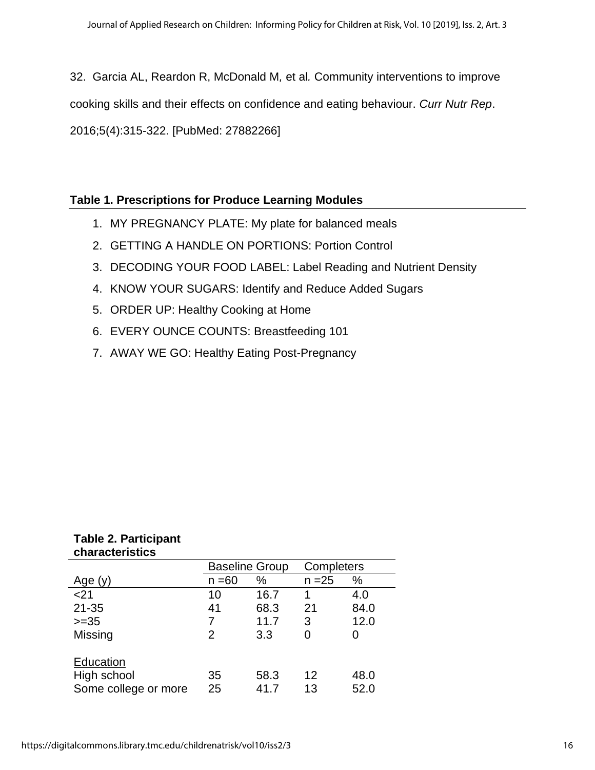32. Garcia AL, Reardon R, McDonald M*,* et al*.* Community interventions to improve cooking skills and their effects on confidence and eating behaviour. *Curr Nutr Rep*. 2016;5(4):315-322. [PubMed: 27882266]

# **Table 1. Prescriptions for Produce Learning Modules**

- 1. MY PREGNANCY PLATE: My plate for balanced meals
- 2. GETTING A HANDLE ON PORTIONS: Portion Control
- 3. DECODING YOUR FOOD LABEL: Label Reading and Nutrient Density
- 4. KNOW YOUR SUGARS: Identify and Reduce Added Sugars
- 5. ORDER UP: Healthy Cooking at Home
- 6. EVERY OUNCE COUNTS: Breastfeeding 101
- 7. AWAY WE GO: Healthy Eating Post-Pregnancy

|                      | <b>Baseline Group</b> |      | Completers |      |
|----------------------|-----------------------|------|------------|------|
| Age $(y)$            | $n = 60$              | %    | $n = 25$   | %    |
| < 21                 | 10                    | 16.7 | 1          | 4.0  |
| $21 - 35$            | 41                    | 68.3 | 21         | 84.0 |
| $>=35$               | 7                     | 11.7 | 3          | 12.0 |
| Missing              | 2                     | 3.3  | 0          |      |
|                      |                       |      |            |      |
| Education            |                       |      |            |      |
| High school          | 35                    | 58.3 | 12         | 48.0 |
| Some college or more | 25                    | 41.7 | 13         | 52.0 |

# **Table 2. Participant characteristics**